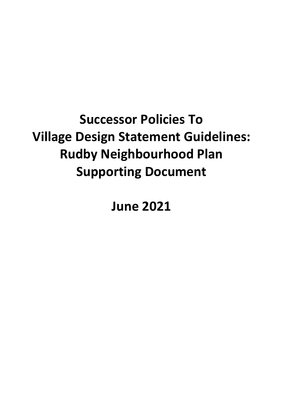# **Successor Policies To Village Design Statement Guidelines: Rudby Neighbourhood Plan Supporting Document**

**June 2021**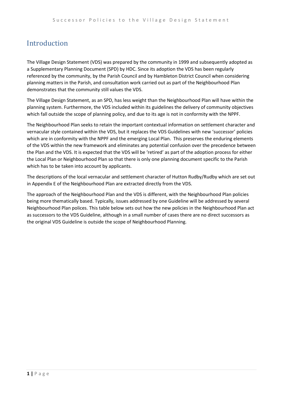### Introduction

The Village Design Statement (VDS) was prepared by the community in 1999 and subsequently adopted as a Supplementary Planning Document (SPD) by HDC. Since its adoption the VDS has been regularly referenced by the community, by the Parish Council and by Hambleton District Council when considering planning matters in the Parish, and consultation work carried out as part of the Neighbourhood Plan demonstrates that the community still values the VDS.

The Village Design Statement, as an SPD, has less weight than the Neighbourhood Plan will have within the planning system. Furthermore, the VDS included within its guidelines the delivery of community objectives which fall outside the scope of planning policy, and due to its age is not in conformity with the NPPF.

The Neighbourhood Plan seeks to retain the important contextual information on settlement character and vernacular style contained within the VDS, but it replaces the VDS Guidelines with new 'successor' policies which are in conformity with the NPPF and the emerging Local Plan. This preserves the enduring elements of the VDS within the new framework and eliminates any potential confusion over the precedence between the Plan and the VDS. It is expected that the VDS will be 'retired' as part of the adoption process for either the Local Plan or Neighbourhood Plan so that there is only one planning document specific to the Parish which has to be taken into account by applicants.

The descriptions of the local vernacular and settlement character of Hutton Rudby/Rudby which are set out in Appendix E of the Neighbourhood Plan are extracted directly from the VDS.

The approach of the Neighbourhood Plan and the VDS is different, with the Neighbourhood Plan policies being more thematically based. Typically, issues addressed by one Guideline will be addressed by several Neighbourhood Plan polices. This table below sets out how the new policies in the Neighbourhood Plan act as successors to the VDS Guideline, although in a small number of cases there are no direct successors as the original VDS Guideline is outside the scope of Neighbourhood Planning.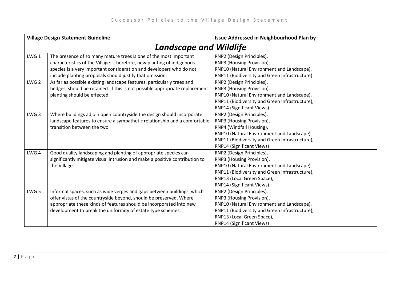| <b>Village Design Statement Guideline</b> |                                                                             | Issue Addressed in Neighbourhood Plan by       |  |
|-------------------------------------------|-----------------------------------------------------------------------------|------------------------------------------------|--|
|                                           | <b>Landscape and Wildlife</b>                                               |                                                |  |
| LWG <sub>1</sub>                          | The presence of so many mature trees is one of the most important           | RNP2 (Design Principles),                      |  |
|                                           | characteristics of the Village. Therefore, new planting of indigenous       | RNP3 (Housing Provision),                      |  |
|                                           | species is a very important consideration and developers who do not         | RNP10 (Natural Environment and Landscape),     |  |
|                                           | include planting proposals should justify that omission.                    | RNP11 (Biodiversity and Green Infrastructure)  |  |
| LWG <sub>2</sub>                          | As far as possible existing landscape features, particularly trees and      | RNP2 (Design Principles),                      |  |
|                                           | hedges, should be retained. If this is not possible appropriate replacement | RNP3 (Housing Provision),                      |  |
|                                           | planting should be effected.                                                | RNP10 (Natural Environment and Landscape),     |  |
|                                           |                                                                             | RNP11 (Biodiversity and Green Infrastructure), |  |
|                                           |                                                                             | RNP14 (Significant Views)                      |  |
| LWG <sub>3</sub>                          | Where buildings adjoin open countryside the design should incorporate       | RNP2 (Design Principles),                      |  |
|                                           | landscape features to ensure a sympathetic relationship and a comfortable   | RNP3 (Housing Provision),                      |  |
|                                           | transition between the two.                                                 | RNP4 (Windfall Housing),                       |  |
|                                           |                                                                             | RNP10 (Natural Environment and Landscape),     |  |
|                                           |                                                                             | RNP11 (Biodiversity and Green Infrastructure), |  |
|                                           |                                                                             | RNP14 (Significant Views)                      |  |
| LWG <sub>4</sub>                          | Good quality landscaping and planting of appropriate species can            | RNP2 (Design Principles),                      |  |
|                                           | significantly mitigate visual intrusion and make a positive contribution to | RNP3 (Housing Provision),                      |  |
|                                           | the Village.                                                                | RNP10 (Natural Environment and Landscape),     |  |
|                                           |                                                                             | RNP11 (Biodiversity and Green Infrastructure), |  |
|                                           |                                                                             | RNP13 (Local Green Space),                     |  |
|                                           |                                                                             | <b>RNP14 (Significant Views)</b>               |  |
| LWG <sub>5</sub>                          | Informal spaces, such as wide verges and gaps between buildings, which      | RNP2 (Design Principles),                      |  |
|                                           | offer vistas of the countryside beyond, should be preserved. Where          | RNP3 (Housing Provision),                      |  |
|                                           | appropriate these kinds of features should be incorporated into new         | RNP10 (Natural Environment and Landscape),     |  |
|                                           | development to break the uniformity of estate type schemes.                 | RNP11 (Biodiversity and Green Infrastructure), |  |
|                                           |                                                                             | RNP13 (Local Green Space),                     |  |
|                                           |                                                                             | <b>RNP14 (Significant Views)</b>               |  |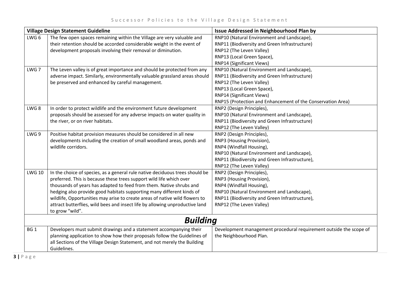| <b>Village Design Statement Guideline</b> |                                                                              | Issue Addressed in Neighbourhood Plan by                           |
|-------------------------------------------|------------------------------------------------------------------------------|--------------------------------------------------------------------|
| LWG <sub>6</sub>                          | The few open spaces remaining within the Village are very valuable and       | RNP10 (Natural Environment and Landscape),                         |
|                                           | their retention should be accorded considerable weight in the event of       | RNP11 (Biodiversity and Green Infrastructure)                      |
|                                           | development proposals involving their removal or diminution.                 | RNP12 (The Leven Valley)                                           |
|                                           |                                                                              | RNP13 (Local Green Space),                                         |
|                                           |                                                                              | RNP14 (Significant Views)                                          |
| LWG <sub>7</sub>                          | The Leven valley is of great importance and should be protected from any     | RNP10 (Natural Environment and Landscape),                         |
|                                           | adverse impact. Similarly, environmentally valuable grassland areas should   | RNP11 (Biodiversity and Green Infrastructure)                      |
|                                           | be preserved and enhanced by careful management.                             | RNP12 (The Leven Valley)                                           |
|                                           |                                                                              | RNP13 (Local Green Space),                                         |
|                                           |                                                                              | RNP14 (Significant Views)                                          |
|                                           |                                                                              | RNP15 (Protection and Enhancement of the Conservation Area)        |
| LWG <sub>8</sub>                          | In order to protect wildlife and the environment future development          | RNP2 (Design Principles),                                          |
|                                           | proposals should be assessed for any adverse impacts on water quality in     | RNP10 (Natural Environment and Landscape),                         |
|                                           | the river, or on river habitats.                                             | RNP11 (Biodiversity and Green Infrastructure)                      |
|                                           |                                                                              | RNP12 (The Leven Valley)                                           |
| LWG 9                                     | Positive habitat provision measures should be considered in all new          | RNP2 (Design Principles),                                          |
|                                           | developments including the creation of small woodland areas, ponds and       | RNP3 (Housing Provision),                                          |
|                                           | wildlife corridors.                                                          | RNP4 (Windfall Housing),                                           |
|                                           |                                                                              | RNP10 (Natural Environment and Landscape),                         |
|                                           |                                                                              | RNP11 (Biodiversity and Green Infrastructure),                     |
|                                           |                                                                              | RNP12 (The Leven Valley)                                           |
| <b>LWG 10</b>                             | In the choice of species, as a general rule native deciduous trees should be | RNP2 (Design Principles),                                          |
|                                           | preferred. This is because these trees support wild life which over          | RNP3 (Housing Provision),                                          |
|                                           | thousands of years has adapted to feed from them. Native shrubs and          | RNP4 (Windfall Housing),                                           |
|                                           | hedging also provide good habitats supporting many different kinds of        | RNP10 (Natural Environment and Landscape),                         |
|                                           | wildlife, Opportunities may arise to create areas of native wild flowers to  | RNP11 (Biodiversity and Green Infrastructure),                     |
|                                           | attract butterflies, wild bees and insect life by allowing unproductive land | RNP12 (The Leven Valley)                                           |
|                                           | to grow "wild".                                                              |                                                                    |
| <b>Building</b>                           |                                                                              |                                                                    |
| BG <sub>1</sub>                           | Developers must submit drawings and a statement accompanying their           | Development management procedural requirement outside the scope of |
|                                           | planning application to show how their proposals follow the Guidelines of    | the Neighbourhood Plan.                                            |
|                                           | all Sections of the Village Design Statement, and not merely the Building    |                                                                    |
|                                           | Guidelines.                                                                  |                                                                    |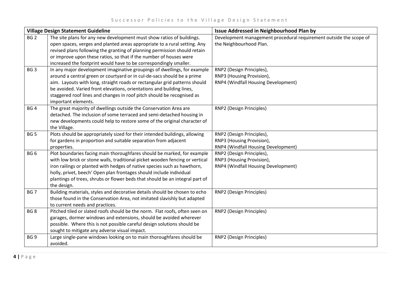| Village Design Statement Guideline |                                                                                                                                                                                                                                                                                                                                                                                                             | Issue Addressed in Neighbourhood Plan by                                                      |
|------------------------------------|-------------------------------------------------------------------------------------------------------------------------------------------------------------------------------------------------------------------------------------------------------------------------------------------------------------------------------------------------------------------------------------------------------------|-----------------------------------------------------------------------------------------------|
| BG <sub>2</sub>                    | The site plans for any new development must show ratios of buildings.<br>open spaces, verges and planted areas appropriate to a rural setting. Any<br>revised plans following the granting of planning permission should retain<br>or improve upon these ratios, so that if the number of houses were<br>increased the footprint would have to be correspondingly smaller.                                  | Development management procedural requirement outside the scope of<br>the Neighbourhood Plan. |
| BG <sub>3</sub>                    | In any major development imaginative groupings of dwellings, for example<br>around a central green or courtyard or in cul-de-sacs should be a prime<br>aim. Layouts with long, straight roads or rectangular grid patterns should<br>be avoided. Varied front elevations, orientations and building lines,<br>staggered roof lines and changes in roof pitch should be recognised as<br>important elements. | RNP2 (Design Principles),<br>RNP3 (Housing Provision),<br>RNP4 (Windfall Housing Development) |
| BG <sub>4</sub>                    | The great majority of dwellings outside the Conservation Area are<br>detached. The inclusion of some terraced and semi-detached housing in<br>new developments could help to restore some of the original character of<br>the Village.                                                                                                                                                                      | RNP2 (Design Principles)                                                                      |
| BG <sub>5</sub>                    | Plots should be appropriately sized for their intended buildings, allowing<br>for gardens in proportion and suitable separation from adjacent<br>properties.                                                                                                                                                                                                                                                | RNP2 (Design Principles),<br>RNP3 (Housing Provision),<br>RNP4 (Windfall Housing Development) |
| BG <sub>6</sub>                    | Plot boundaries facing main thoroughfares should be marked, for example<br>with low brick or stone walls, traditional picket wooden fencing or vertical<br>iron railings or planted with hedges of native species such as hawthorn,<br>holly, privet, beech' Open plan frontages should include individual<br>plantings of trees, shrubs or flower beds that should be an integral part of<br>the design.   | RNP2 (Design Principles),<br>RNP3 (Housing Provision),<br>RNP4 (Windfall Housing Development) |
| BG <sub>7</sub>                    | Building materials, styles and decorative details should be chosen to echo<br>those found in the Conservation Area, not imitated slavishly but adapted<br>to current needs and practices.                                                                                                                                                                                                                   | RNP2 (Design Principles)                                                                      |
| BG <sub>8</sub>                    | Pitched tiled or slated roofs should be the norm. Flat roofs, often seen on<br>garages, dormer windows and extensions, should be avoided wherever<br>possible. Where this is not possible careful design solutions should be<br>sought to mitigate any adverse visual impact.                                                                                                                               | RNP2 (Design Principles)                                                                      |
| BG <sub>9</sub>                    | Large single-pane windows looking on to main thoroughfares should be<br>avoided.                                                                                                                                                                                                                                                                                                                            | RNP2 (Design Principles)                                                                      |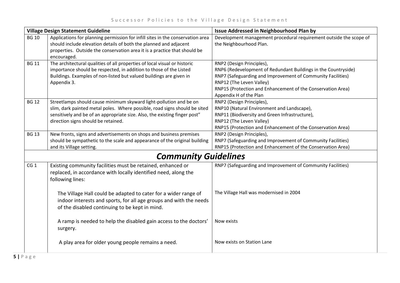| <b>Village Design Statement Guideline</b> |                                                                                                                                                                                                                                                                       | Issue Addressed in Neighbourhood Plan by                                                                                                                                                                                                                                        |  |
|-------------------------------------------|-----------------------------------------------------------------------------------------------------------------------------------------------------------------------------------------------------------------------------------------------------------------------|---------------------------------------------------------------------------------------------------------------------------------------------------------------------------------------------------------------------------------------------------------------------------------|--|
| <b>BG 10</b>                              | Applications for planning permission for infill sites in the conservation area<br>should include elevation details of both the planned and adjacent<br>properties. Outside the conservation area it is a practice that should be<br>encouraged.                       | Development management procedural requirement outside the scope of<br>the Neighbourhood Plan.                                                                                                                                                                                   |  |
| <b>BG 11</b>                              | The architectural qualities of all properties of local visual or historic<br>importance should be respected, in addition to those of the Listed<br>Buildings. Examples of non-listed but valued buildings are given in<br>Appendix 3.                                 | RNP2 (Design Principles),<br>RNP6 (Redevelopment of Redundant Buildings in the Countryside)<br>RNP7 (Safeguarding and Improvement of Community Facilities)<br>RNP12 (The Leven Valley)<br>RNP15 (Protection and Enhancement of the Conservation Area)<br>Appendix H of the Plan |  |
| <b>BG 12</b>                              | Streetlamps should cause minimum skyward light-pollution and be on<br>slim, dark painted metal poles. Where possible, road signs should be sited<br>sensitively and be of an appropriate size. Also, the existing finger post"<br>direction signs should be retained. | RNP2 (Design Principles),<br>RNP10 (Natural Environment and Landscape),<br>RNP11 (Biodiversity and Green Infrastructure),<br>RNP12 (The Leven Valley)<br>RNP15 (Protection and Enhancement of the Conservation Area)                                                            |  |
| <b>BG 13</b>                              | New fronts, signs and advertisements on shops and business premises<br>should be sympathetic to the scale and appearance of the original building<br>and its Village setting.                                                                                         | RNP2 (Design Principles),<br>RNP7 (Safeguarding and Improvement of Community Facilities)<br>RNP15 (Protection and Enhancement of the Conservation Area)                                                                                                                         |  |
|                                           | <b>Community Guidelines</b>                                                                                                                                                                                                                                           |                                                                                                                                                                                                                                                                                 |  |
| CG <sub>1</sub>                           | Existing community facilities must be retained, enhanced or<br>replaced, in accordance with locally identified need, along the<br>following lines:                                                                                                                    | RNP7 (Safeguarding and Improvement of Community Facilities)                                                                                                                                                                                                                     |  |
|                                           | The Village Hall could be adapted to cater for a wider range of<br>indoor interests and sports, for all age groups and with the needs<br>of the disabled continuing to be kept in mind.                                                                               | The Village Hall was modernised in 2004                                                                                                                                                                                                                                         |  |
|                                           | A ramp is needed to help the disabled gain access to the doctors'<br>surgery.                                                                                                                                                                                         | Now exists                                                                                                                                                                                                                                                                      |  |
|                                           | A play area for older young people remains a need.                                                                                                                                                                                                                    | Now exists on Station Lane                                                                                                                                                                                                                                                      |  |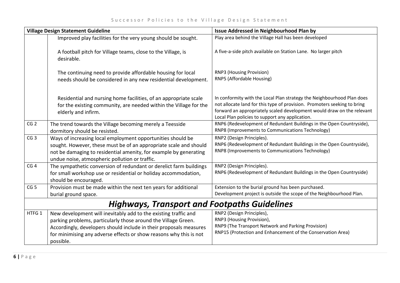| <b>Village Design Statement Guideline</b>           |                                                                                                                                                                                                                                                                                            | <b>Issue Addressed in Neighbourhood Plan by</b>                                                                                                                                                                                                                                 |
|-----------------------------------------------------|--------------------------------------------------------------------------------------------------------------------------------------------------------------------------------------------------------------------------------------------------------------------------------------------|---------------------------------------------------------------------------------------------------------------------------------------------------------------------------------------------------------------------------------------------------------------------------------|
|                                                     | Improved play facilities for the very young should be sought.                                                                                                                                                                                                                              | Play area behind the Village Hall has been developed                                                                                                                                                                                                                            |
|                                                     | A football pitch for Village teams, close to the Village, is<br>desirable.                                                                                                                                                                                                                 | A five-a-side pitch available on Station Lane. No larger pitch                                                                                                                                                                                                                  |
|                                                     | The continuing need to provide affordable housing for local<br>needs should be considered in any new residential development.                                                                                                                                                              | <b>RNP3 (Housing Provision)</b><br>RNP5 (Affordable Housing)                                                                                                                                                                                                                    |
|                                                     | Residential and nursing home facilities, of an appropriate scale<br>for the existing community, are needed within the Village for the<br>elderly and infirm.                                                                                                                               | In conformity with the Local Plan strategy the Neighbourhood Plan does<br>not allocate land for this type of provision. Promoters seeking to bring<br>forward an appropriately scaled development would draw on the relevant<br>Local Plan policies to support any application. |
| CG <sub>2</sub>                                     | The trend towards the Village becoming merely a Teesside<br>dormitory should be resisted.                                                                                                                                                                                                  | RNP6 (Redevelopment of Redundant Buildings in the Open Countryside),<br>RNP8 (Improvements to Communications Technology)                                                                                                                                                        |
| CG <sub>3</sub>                                     | Ways of increasing local employment opportunities should be<br>sought. However, these must be of an appropriate scale and should<br>not be damaging to residential amenity, for example by generating<br>undue noise, atmospheric pollution or traffic.                                    | RNP2 (Design Principles).<br>RNP6 (Redevelopment of Redundant Buildings in the Open Countryside),<br>RNP8 (Improvements to Communications Technology)                                                                                                                           |
| CG <sub>4</sub>                                     | The sympathetic conversion of redundant or derelict farm buildings<br>for small workshop use or residential or holiday accommodation,<br>should be encouraged.                                                                                                                             | RNP2 (Design Principles).<br>RNP6 (Redevelopment of Redundant Buildings in the Open Countryside)                                                                                                                                                                                |
| CG <sub>5</sub>                                     | Provision must be made within the next ten years for additional<br>burial ground space.                                                                                                                                                                                                    | Extension to the burial ground has been purchased.<br>Development project is outside the scope of the Neighbourhood Plan.                                                                                                                                                       |
| <b>Highways, Transport and Footpaths Guidelines</b> |                                                                                                                                                                                                                                                                                            |                                                                                                                                                                                                                                                                                 |
| HTFG 1                                              | New development will inevitably add to the existing traffic and<br>parking problems, particularly those around the Village Green.<br>Accordingly, developers should include in their proposals measures<br>for minimising any adverse effects or show reasons why this is not<br>possible. | RNP2 (Design Principles),<br>RNP3 (Housing Provision),<br>RNP9 (The Transport Network and Parking Provision)<br>RNP15 (Protection and Enhancement of the Conservation Area)                                                                                                     |